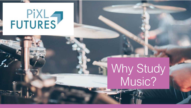

## Why Study Music?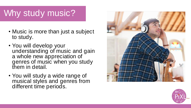#### Why study music? Why study music?

- Music is more than just a subject to study.
- You will develop your •You will develop your understanding of music and gain a whole new appreciation of  $\tilde{ }$ genres of music when you study them in detail.
- You will study a wide range of You will study a wide range of musical styles and genres from musical styles and genres from different time periods. different time periods.



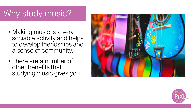#### Why study music?

- Making music is a very sociable activity and helps to develop friendships and a sense of community.
- There are a number of other benefits that studying music gives you.



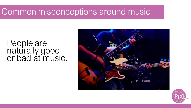#### People are naturally good or bad at music.



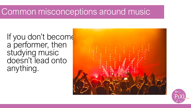If you don't become a performer, then studying music doesn't lead onto anything.



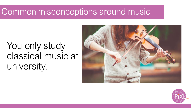#### You only study classical music at university.



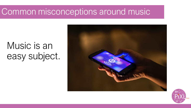### Music is an easy subject.



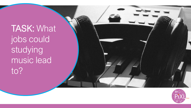TASK: What jobs could studying music lead to?

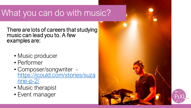#### What you can do with music?

There are lots of careers that studying music can lead you to. A few examples are:

- Music producer
- Performer
- Composer/songwriter [https://icould.com/stories/suza](https://icould.com/stories/suzanne-p-2/)  $nne-p-2$
- Music therapist
- Event manager

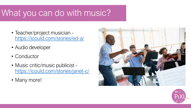#### What you can do with music?

- Teacher/project musician <https://icould.com/stories/ed-a/>
- Audio developer
- Conductor
- Music critic/music publicist <https://icould.com/stories/janet-c/>
- Many more!



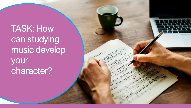TASK: How can studying music develop your character?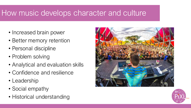#### How music develops character and culture

- Increased brain power
- Better memory retention
- Personal discipline
- Problem solving
- Analytical and evaluation skills
- Confidence and resilience
- Leadership
- Social empathy
- Historical understanding